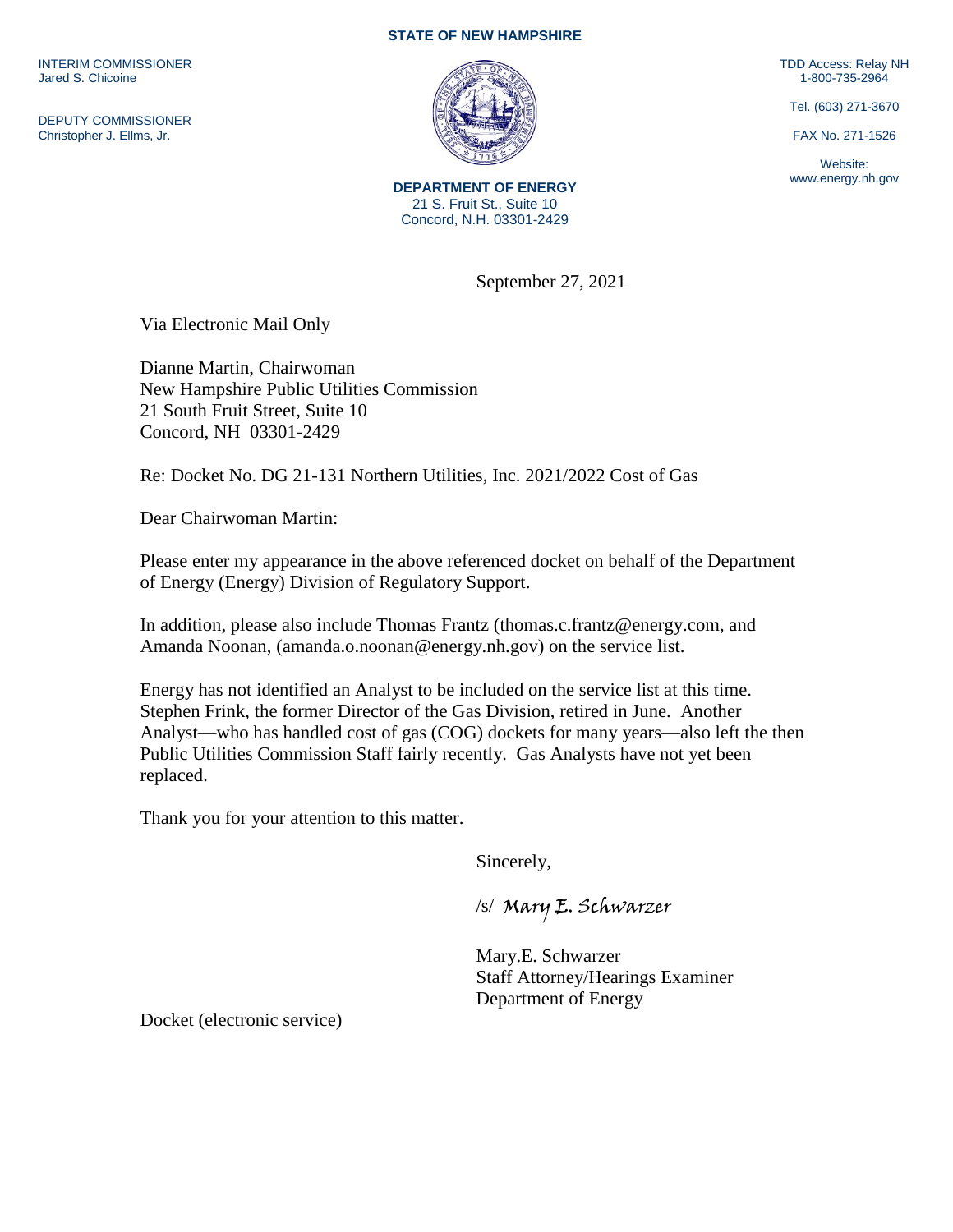INTERIM COMMISSIONER Jared S. Chicoine

DEPUTY COMMISSIONER Christopher J. Ellms, Jr.

## **STATE OF NEW HAMPSHIRE**



**DEPARTMENT OF ENERGY** 21 S. Fruit St., Suite 10 Concord, N.H. 03301-2429

September 27, 2021

Via Electronic Mail Only

Dianne Martin, Chairwoman New Hampshire Public Utilities Commission 21 South Fruit Street, Suite 10 Concord, NH 03301-2429

Re: Docket No. DG 21-131 Northern Utilities, Inc. 2021/2022 Cost of Gas

Dear Chairwoman Martin:

Please enter my appearance in the above referenced docket on behalf of the Department of Energy (Energy) Division of Regulatory Support.

In addition, please also include Thomas Frantz (thomas.c.frantz@energy.com, and Amanda Noonan, (amanda.o.noonan@energy.nh.gov) on the service list.

Energy has not identified an Analyst to be included on the service list at this time. Stephen Frink, the former Director of the Gas Division, retired in June. Another Analyst—who has handled cost of gas (COG) dockets for many years—also left the then Public Utilities Commission Staff fairly recently. Gas Analysts have not yet been replaced.

Thank you for your attention to this matter.

Sincerely,

/s/ Mary E. Schwarzer

Mary.E. Schwarzer Staff Attorney/Hearings Examiner Department of Energy

Docket (electronic service)

TDD Access: Relay NH 1-800-735-2964

Tel. (603) 271-3670

FAX No. 271-1526

Website: www.energy.nh.gov